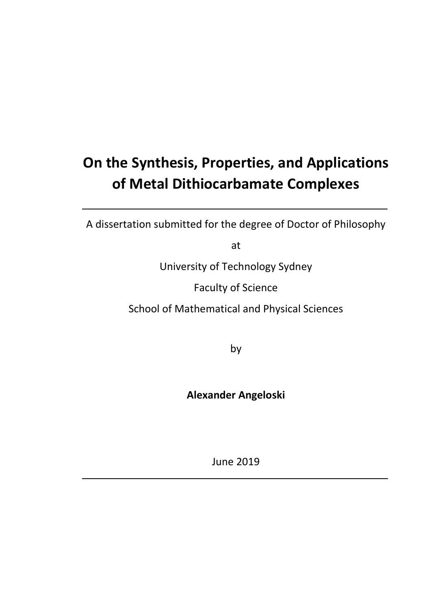# **On the Synthesis, Properties, and Applications of Metal Dithiocarbamate Complexes**

A dissertation submitted for the degree of Doctor of Philosophy

at

University of Technology Sydney

Faculty of Science

School of Mathematical and Physical Sciences

by

**Alexander Angeloski**

June 2019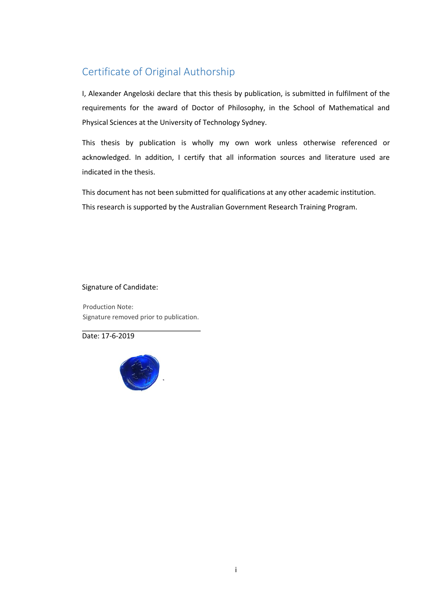### <span id="page-1-0"></span>Certificate of Original Authorship

I, Alexander Angeloski declare that this thesis by publication, is submitted in fulfilment of the requirements for the award of Doctor of Philosophy, in the School of Mathematical and Physical Sciences at the University of Technology Sydney.

This thesis by publication is wholly my own work unless otherwise referenced or acknowledged. In addition, I certify that all information sources and literature used are indicated in the thesis.

This document has not been submitted for qualifications at any other academic institution. This research is supported by the Australian Government Research Training Program.

Signature of Candidate:

Production Note: Signature removed prior to publication.

Date: 17-6-2019

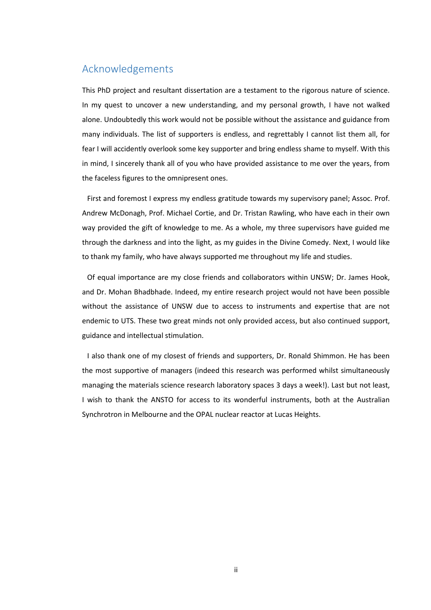#### <span id="page-2-0"></span>Acknowledgements

This PhD project and resultant dissertation are a testament to the rigorous nature of science. In my quest to uncover a new understanding, and my personal growth, I have not walked alone. Undoubtedly this work would not be possible without the assistance and guidance from many individuals. The list of supporters is endless, and regrettably I cannot list them all, for fear I will accidently overlook some key supporter and bring endless shame to myself. With this in mind, I sincerely thank all of you who have provided assistance to me over the years, from the faceless figures to the omnipresent ones.

First and foremost I express my endless gratitude towards my supervisory panel; Assoc. Prof. Andrew McDonagh, Prof. Michael Cortie, and Dr. Tristan Rawling, who have each in their own way provided the gift of knowledge to me. As a whole, my three supervisors have guided me through the darkness and into the light, as my guides in the Divine Comedy. Next, I would like to thank my family, who have always supported me throughout my life and studies.

Of equal importance are my close friends and collaborators within UNSW; Dr. James Hook, and Dr. Mohan Bhadbhade. Indeed, my entire research project would not have been possible without the assistance of UNSW due to access to instruments and expertise that are not endemic to UTS. These two great minds not only provided access, but also continued support, guidance and intellectual stimulation.

I also thank one of my closest of friends and supporters, Dr. Ronald Shimmon. He has been the most supportive of managers (indeed this research was performed whilst simultaneously managing the materials science research laboratory spaces 3 days a week!). Last but not least, I wish to thank the ANSTO for access to its wonderful instruments, both at the Australian Synchrotron in Melbourne and the OPAL nuclear reactor at Lucas Heights.

ii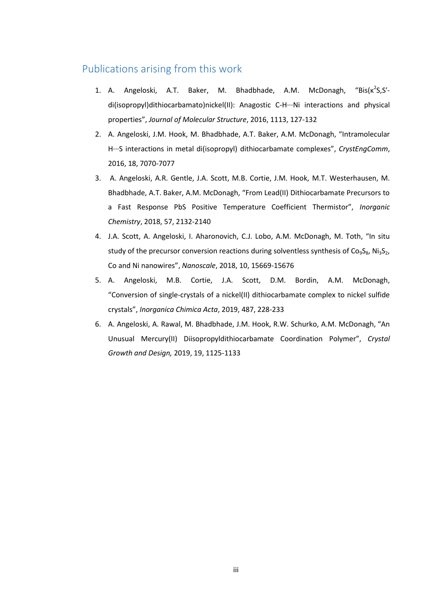#### <span id="page-3-0"></span>Publications arising from this work

- 1. A. Angeloski, A.T. Baker, M. Bhadbhade, A.M. McDonagh, "Bis( $\kappa^2$ S,S'di(isopropyl)dithiocarbamato)nickel(II): Anagostic C-H···Ni interactions and physical properties", *Journal of Molecular Structure*, 2016, 1113, 127-132
- 2. A. Angeloski, J.M. Hook, M. Bhadbhade, A.T. Baker, A.M. McDonagh, "Intramolecular H···S interactions in metal di(isopropyl) dithiocarbamate complexes", *CrystEngComm*, 2016, 18, 7070-7077
- 3. A. Angeloski, A.R. Gentle, J.A. Scott, M.B. Cortie, J.M. Hook, M.T. Westerhausen, M. Bhadbhade, A.T. Baker, A.M. McDonagh, "From Lead(II) Dithiocarbamate Precursors to a Fast Response PbS Positive Temperature Coefficient Thermistor", *Inorganic Chemistry*, 2018, 57, 2132-2140
- 4. J.A. Scott, A. Angeloski, I. Aharonovich, C.J. Lobo, A.M. McDonagh, M. Toth, "In situ study of the precursor conversion reactions during solventless synthesis of Co<sub>9</sub>S<sub>8</sub>, Ni<sub>3</sub>S<sub>2</sub>, Co and Ni nanowires", *Nanoscale*, 2018, 10, 15669-15676
- 5. A. Angeloski, M.B. Cortie, J.A. Scott, D.M. Bordin, A.M. McDonagh, "Conversion of single-crystals of a nickel(II) dithiocarbamate complex to nickel sulfide crystals", *Inorganica Chimica Acta*, 2019, 487, 228-233
- 6. A. Angeloski, A. Rawal, M. Bhadbhade, J.M. Hook, R.W. Schurko, A.M. McDonagh, "An Unusual Mercury(II) Diisopropyldithiocarbamate Coordination Polymer", *Crystal Growth and Design,* 2019, 19, 1125-1133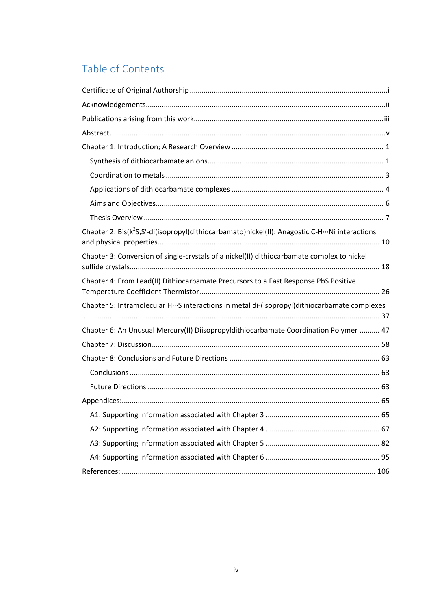## Table of Contents

| Chapter 2: Bis(k <sup>2</sup> S,S'-di(isopropyl)dithiocarbamato)nickel(II): Anagostic C-H···Ni interactions |  |
|-------------------------------------------------------------------------------------------------------------|--|
| Chapter 3: Conversion of single-crystals of a nickel(II) dithiocarbamate complex to nickel                  |  |
| Chapter 4: From Lead(II) Dithiocarbamate Precursors to a Fast Response PbS Positive                         |  |
| Chapter 5: Intramolecular HS interactions in metal di-(isopropyl)dithiocarbamate complexes                  |  |
|                                                                                                             |  |
| Chapter 6: An Unusual Mercury(II) Diisopropyldithiocarbamate Coordination Polymer  47                       |  |
|                                                                                                             |  |
|                                                                                                             |  |
|                                                                                                             |  |
|                                                                                                             |  |
|                                                                                                             |  |
|                                                                                                             |  |
|                                                                                                             |  |
|                                                                                                             |  |
|                                                                                                             |  |
|                                                                                                             |  |